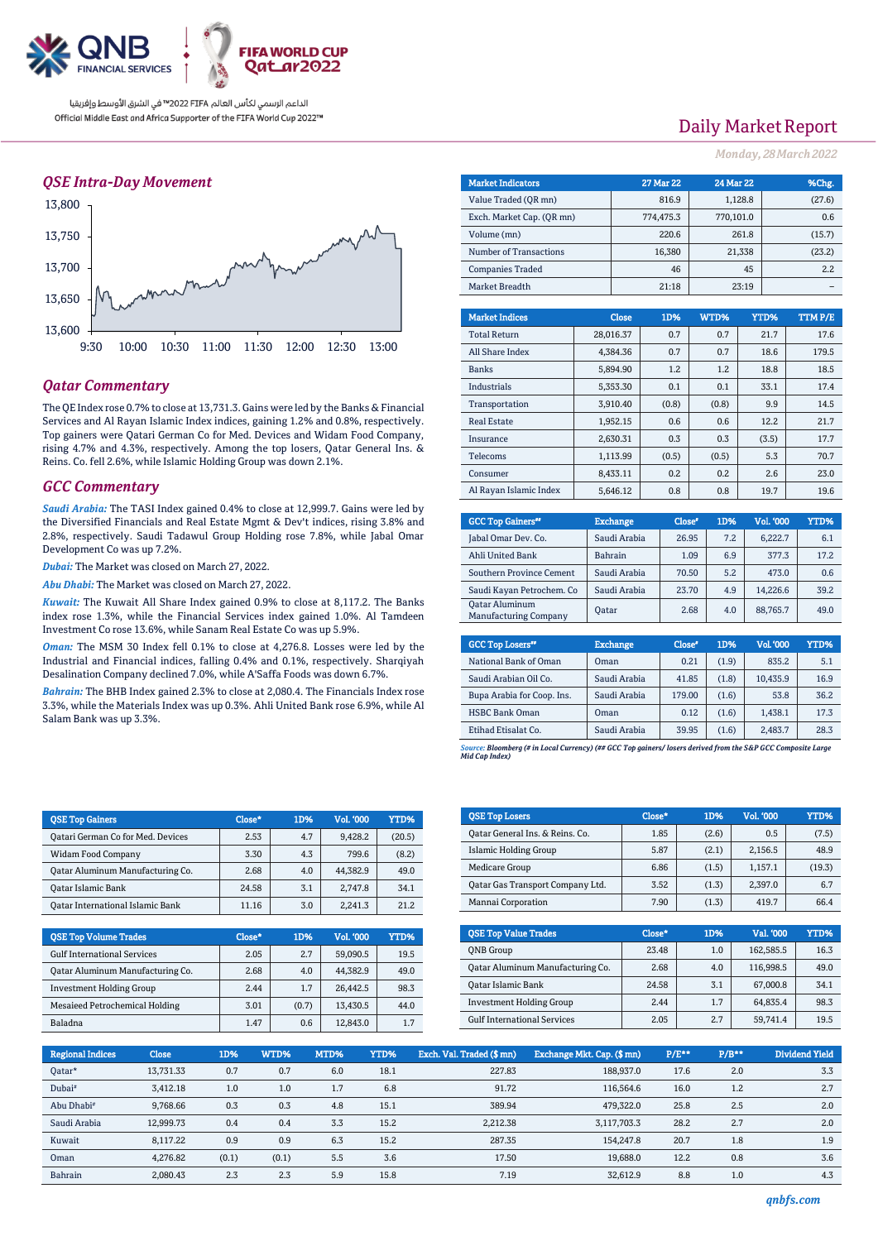

### *QSE Intra-Day Movement*



### *Qatar Commentary*

The QE Index rose 0.7% to close at 13,731.3. Gains were led by the Banks & Financial Services and Al Rayan Islamic Index indices, gaining 1.2% and 0.8%, respectively. Top gainers were Qatari German Co for Med. Devices and Widam Food Company, rising 4.7% and 4.3%, respectively. Among the top losers, Qatar General Ins. & Reins. Co. fell 2.6%, while Islamic Holding Group was down 2.1%.

### *GCC Commentary*

*Saudi Arabia:* The TASI Index gained 0.4% to close at 12,999.7. Gains were led by the Diversified Financials and Real Estate Mgmt & Dev't indices, rising 3.8% and 2.8%, respectively. Saudi Tadawul Group Holding rose 7.8%, while Jabal Omar Development Co was up 7.2%.

*Dubai:* The Market was closed on March 27, 2022.

*Abu Dhabi:* The Market was closed on March 27, 2022.

*Kuwait:* The Kuwait All Share Index gained 0.9% to close at 8,117.2. The Banks index rose 1.3%, while the Financial Services index gained 1.0%. Al Tamdeen Investment Co rose 13.6%, while Sanam Real Estate Co was up 5.9%.

*Oman:* The MSM 30 Index fell 0.1% to close at 4,276.8. Losses were led by the Industrial and Financial indices, falling 0.4% and 0.1%, respectively. Sharqiyah Desalination Company declined 7.0%, while A'Saffa Foods was down 6.7%.

*Bahrain:* The BHB Index gained 2.3% to close at 2,080.4. The Financials Index rose 3.3%, while the Materials Index was up 0.3%. Ahli United Bank rose 6.9%, while Al Salam Bank was up 3.3%.

QSE Top Gainers Close\* 1D% Vol. '000 YTD% Qatari German Co for Med. Devices 2.53 4.7 9,428.2 (20.5) Widam Food Company 199.6 (8.2) Oatar Aluminum Manufacturing Co.  $\begin{array}{|c|c|c|c|c|c|c|c|} \hline 2.68 & 4.0 & 44.382.9 & 49.0 \hline \end{array}$ Qatar Islamic Bank 24.58 3.1 2,747.8 34.1 Qatar International Islamic Bank 11.16 3.0 2,241.3 21.2

QSE Top Volume Trades Close\* 1D% Vol. '000 YTD% Gulf International Services 2.05 2.7 59,090.5 19.5 Qatar Aluminum Manufacturing Co.  $\begin{array}{|c|c|c|c|c|c|c|} \hline \rule{0pt}{1ex} & 2.68 & & 4.0 & 44,382.9 & 49.0 \\\hline \end{array}$ Investment Holding Group 2.44 1.7 26,442.5 98.3 Mesaieed Petrochemical Holding 13.01 (0.7) 13,430.5 44.0 Baladna 1.47 0.6 12,843.0 1.7

|        | <b>Market Indicators</b>  |              | <b>27 Mar 22</b> | <b>24 Mar 22</b> |         |      | %Chg.  |
|--------|---------------------------|--------------|------------------|------------------|---------|------|--------|
|        | Value Traded (QR mn)      |              | 816.9            |                  | 1,128.8 |      | (27.6) |
|        | Exch. Market Cap. (QR mn) |              | 774,475.3        | 770,101.0        |         |      | 0.6    |
|        | Volume (mn)               |              | 220.6            |                  | 261.8   |      | (15.7) |
|        | Number of Transactions    |              | 16,380           |                  | 21,338  |      | (23.2) |
|        | <b>Companies Traded</b>   |              | 46               |                  | 45      |      | 2.2    |
|        | Market Breadth            |              | 21:18            |                  | 23:19   |      |        |
|        |                           |              |                  |                  |         |      |        |
|        | <b>Market Indices</b>     | <b>Close</b> | 1D%              | WTD%             | YTD%    |      | TTMP/E |
|        | <b>Total Return</b>       | 28,016.37    | 0.7              | 0.7              |         | 21.7 | 17.6   |
|        | All Share Index           | 4.384.36     | 0.7              | 0.7              |         | 18.6 | 179.5  |
|        | <b>Banks</b>              | 5,894.90     | 1.2              | 1.2              |         | 18.8 | 18.5   |
|        | Industrials               | 5,353.30     | 0.1              | 0.1              |         | 33.1 | 17.4   |
|        | Transportation            | 3,910.40     | (0.8)            | (0.8)            |         | 9.9  | 14.5   |
|        | <b>Real Estate</b>        | 1,952.15     | 0.6              | 0.6              |         | 12.2 | 21.7   |
| .<br>X | Insurance                 | 2,630.31     | 0.3              | 0.3              | (3.5)   |      | 17.7   |
|        | Telecoms                  | 1,113.99     | (0.5)            | (0.5)            |         | 5.3  | 70.7   |
|        | Consumer                  | 8,433.11     | 0.2              | 0.2              |         | 2.6  | 23.0   |
|        | Al Rayan Islamic Index    | 5,646.12     | 0.8              | 0.8              |         | 19.7 | 19.6   |
| ÷      |                           |              |                  |                  |         |      |        |

| <b>GCC Top Gainers</b> "                              | <b>Exchange</b> | Close* | 1D% | Vol. '000 | YTD% |
|-------------------------------------------------------|-----------------|--------|-----|-----------|------|
| Jabal Omar Dev. Co.                                   | Saudi Arabia    | 26.95  | 7.2 | 6.222.7   | 6.1  |
| Ahli United Bank                                      | <b>Bahrain</b>  | 1.09   | 6.9 | 377.3     | 17.2 |
| Southern Province Cement                              | Saudi Arabia    | 70.50  | 5.2 | 473.0     | 0.6  |
| Saudi Kayan Petrochem. Co                             | Saudi Arabia    | 23.70  | 4.9 | 14,226.6  | 39.2 |
| <b>Qatar Aluminum</b><br><b>Manufacturing Company</b> | Oatar           | 2.68   | 4.0 | 88,765.7  | 49.0 |

| <b>GCC Top Losers</b> "    | <b>Exchange</b> | Close* | 1D%   | Vol.'000 | YTD% |
|----------------------------|-----------------|--------|-------|----------|------|
| National Bank of Oman      | Oman            | 0.21   | (1.9) | 835.2    | 5.1  |
| Saudi Arabian Oil Co.      | Saudi Arabia    | 41.85  | (1.8) | 10.435.9 | 16.9 |
| Bupa Arabia for Coop. Ins. | Saudi Arabia    | 179.00 | (1.6) | 53.8     | 36.2 |
| <b>HSBC Bank Oman</b>      | Oman            | 0.12   | (1.6) | 1,438.1  | 17.3 |
| Etihad Etisalat Co.        | Saudi Arabia    | 39.95  | (1.6) | 2,483.7  | 28.3 |

*Source: Bloomberg (# in Local Currency) (## GCC Top gainers/ losers derived from the S&P GCC Composite Large Mid Cap Index)*

| <b>OSE Top Losers</b><br>Close*<br>1D%<br><b>Vol. '000</b><br>YTD%<br>1.85<br>(2.6)<br>0.5<br>(7.5) |                                 |
|-----------------------------------------------------------------------------------------------------|---------------------------------|
|                                                                                                     |                                 |
|                                                                                                     | Oatar General Ins. & Reins. Co. |
| 5.87<br>48.9<br>2,156.5<br>(2.1)<br>Islamic Holding Group                                           |                                 |
| 6.86<br>Medicare Group<br>(1.5)<br>1.157.1<br>(19.3)                                                |                                 |
| 3.52<br>Oatar Gas Transport Company Ltd.<br>(1.3)<br>2.397.0                                        |                                 |
| 66.4<br>Mannai Corporation<br>7.90<br>(1.3)<br>419.7                                                |                                 |

| <b>OSE Top Value Trades</b>        | Close* | 1D% | Val. '000 | YTD% |
|------------------------------------|--------|-----|-----------|------|
| <b>ONB</b> Group                   | 23.48  | 1.0 | 162,585.5 | 16.3 |
| Qatar Aluminum Manufacturing Co.   | 2.68   | 4.0 | 116,998.5 | 49.0 |
| Oatar Islamic Bank                 | 24.58  | 3.1 | 67,000.8  | 34.1 |
| <b>Investment Holding Group</b>    | 2.44   | 1.7 | 64.835.4  | 98.3 |
| <b>Gulf International Services</b> | 2.05   | 2.7 | 59,741.4  | 19.5 |

| <b>Regional Indices</b> | <b>Close</b> | 1D%   | WTD%  | MTD% | YTD% | Exch. Val. Traded (\$ mn) | Exchange Mkt. Cap. (\$mn) | $P/E**$ | $P/B**$ | <b>Dividend Yield</b> |
|-------------------------|--------------|-------|-------|------|------|---------------------------|---------------------------|---------|---------|-----------------------|
| Qatar*                  | 13,731.33    | 0.7   | 0.7   | 6.0  | 18.1 | 227.83                    | 188,937.0                 | 17.6    | 2.0     | 3.3                   |
| Dubai <sup>#</sup>      | 3.412.18     | 1.0   | 1.0   | 1.7  | 6.8  | 91.72                     | 116.564.6                 | 16.0    | 1.2     | 2.7                   |
| Abu Dhabi <sup>#</sup>  | 9.768.66     | 0.3   | 0.3   | 4.8  | 15.1 | 389.94                    | 479,322.0                 | 25.8    | 2.5     | 2.0                   |
| Saudi Arabia            | 12,999.73    | 0.4   | 0.4   | 3.3  | 15.2 | 2,212.38                  | 3,117,703.3               | 28.2    | 2.7     | 2.0                   |
| Kuwait                  | 8.117.22     | 0.9   | 0.9   | 6.3  | 15.2 | 287.35                    | 154.247.8                 | 20.7    | 1.8     | 1.9                   |
| Oman                    | 4,276.82     | (0.1) | (0.1) | 5.5  | 3.6  | 17.50                     | 19.688.0                  | 12.2    | 0.8     | 3.6                   |
| Bahrain                 | 2,080.43     | 2.3   | 2.3   | 5.9  | 15.8 | 7.19                      | 32.612.9                  | 8.8     | 1.0     | 4.3                   |

# Daily Market Report

*Monday, 28March2022*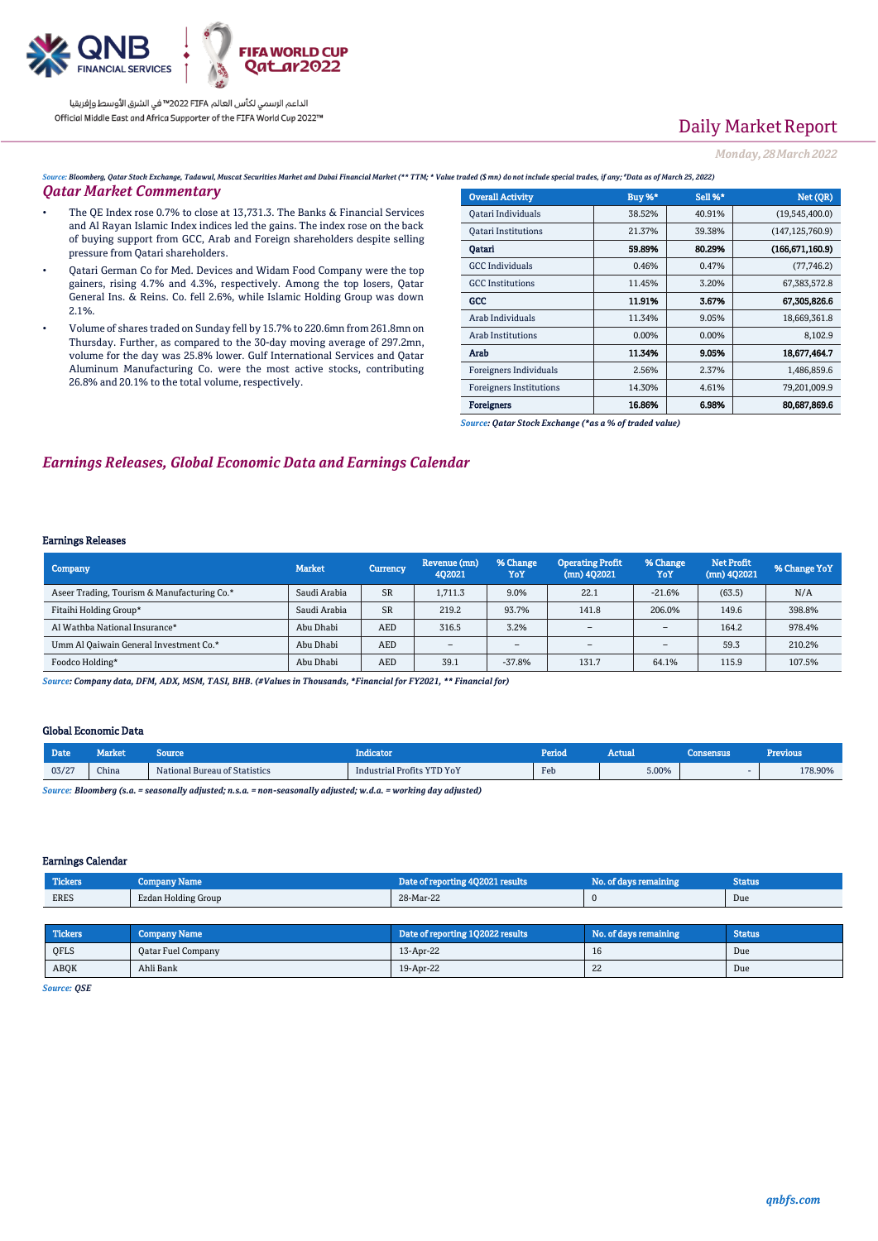

# Daily Market Report

*Monday, 28March2022*

*Source: Bloomberg, Qatar Stock Exchange, Tadawul, Muscat Securities Market and Dubai Financial Market (\*\* TTM; \* Value traded (\$ mn) do not include special trades, if any; #Data as of March 25, 2022)*

### *Qatar Market Commentary*

- The QE Index rose 0.7% to close at 13,731.3. The Banks & Financial Services and Al Rayan Islamic Index indices led the gains. The index rose on the back of buying support from GCC, Arab and Foreign shareholders despite selling pressure from Qatari shareholders.
- Qatari German Co for Med. Devices and Widam Food Company were the top gainers, rising 4.7% and 4.3%, respectively. Among the top losers, Qatar General Ins. & Reins. Co. fell 2.6%, while Islamic Holding Group was down 2.1%.
- Volume of shares traded on Sunday fell by 15.7% to 220.6mn from 261.8mn on Thursday. Further, as compared to the 30-day moving average of 297.2mn, volume for the day was 25.8% lower. Gulf International Services and Qatar Aluminum Manufacturing Co. were the most active stocks, contributing 26.8% and 20.1% to the total volume, respectively.

| <b>Overall Activity</b>        | <b>Buy %*</b> | Sell %* | Net (QR)          |
|--------------------------------|---------------|---------|-------------------|
| Qatari Individuals             | 38.52%        | 40.91%  | (19,545,400.0)    |
| <b>Oatari Institutions</b>     | 21.37%        | 39.38%  | (147, 125, 760.9) |
| Qatari                         | 59.89%        | 80.29%  | (166, 671, 160.9) |
| <b>GCC</b> Individuals         | 0.46%         | 0.47%   | (77, 746.2)       |
| <b>GCC</b> Institutions        | 11.45%        | 3.20%   | 67, 383, 572.8    |
| GCC                            | 11.91%        | 3.67%   | 67,305,826.6      |
| Arab Individuals               | 11.34%        | 9.05%   | 18,669,361.8      |
| Arab Institutions              | 0.00%         | 0.00%   | 8,102.9           |
| Arab                           | 11.34%        | 9.05%   | 18,677,464.7      |
| Foreigners Individuals         | 2.56%         | 2.37%   | 1,486,859.6       |
| <b>Foreigners Institutions</b> | 14.30%        | 4.61%   | 79,201,009.9      |
| <b>Foreigners</b>              | 16.86%        | 6.98%   | 80,687,869.6      |

*Source: Qatar Stock Exchange (\*as a % of traded value)*

### *Earnings Releases, Global Economic Data and Earnings Calendar*

### Earnings Releases

| Company                                     | <b>Market</b> | <b>Currency</b> | Revenue (mn)<br>402021   | % Change<br>YoY          | <b>Operating Profit</b><br>$(mn)$ 402021 | % Change<br>YoY          | <b>Net Profit</b><br>$(mn)$ 402021 | % Change YoY |
|---------------------------------------------|---------------|-----------------|--------------------------|--------------------------|------------------------------------------|--------------------------|------------------------------------|--------------|
| Aseer Trading, Tourism & Manufacturing Co.* | Saudi Arabia  | <b>SR</b>       | 1.711.3                  | 9.0%                     | 22.1                                     | $-21.6%$                 | (63.5)                             | N/A          |
| Fitaihi Holding Group*                      | Saudi Arabia  | <b>SR</b>       | 219.2                    | 93.7%                    | 141.8                                    | 206.0%                   | 149.6                              | 398.8%       |
| Al Wathba National Insurance*               | Abu Dhabi     | <b>AED</b>      | 316.5                    | 3.2%                     | $\overline{\phantom{a}}$                 | $\overline{\phantom{a}}$ | 164.2                              | 978.4%       |
| Umm Al Qaiwain General Investment Co.*      | Abu Dhabi     | AED             | $\overline{\phantom{a}}$ | $\overline{\phantom{a}}$ | $\overline{\phantom{a}}$                 |                          | 59.3                               | 210.2%       |
| Foodco Holding*                             | Abu Dhabi     | <b>AED</b>      | 39.1                     | $-37.8%$                 | 131.7                                    | 64.1%                    | 115.9                              | 107.5%       |

*Source: Company data, DFM, ADX, MSM, TASI, BHB. (#Values in Thousands, \*Financial for FY2021, \*\* Financial for)*

#### Global Economic Data

| 03/27<br>China<br>National Bureau of Statistics | Industrial Profits YTD YoY | Feb | 5.00% | 178.90% |
|-------------------------------------------------|----------------------------|-----|-------|---------|

*Source: Bloomberg (s.a. = seasonally adjusted; n.s.a. = non-seasonally adjusted; w.d.a. = working day adjusted)*

### Earnings Calendar

| <b>Tickers</b> | Company Name        | Date of reporting 4Q2021 results | No. of days remaining | Status |
|----------------|---------------------|----------------------------------|-----------------------|--------|
| <b>ERES</b>    | Ezdan Holding Group | 28-Mar-22                        |                       | Due    |

| Tickers <sup>1</sup> | <b>Company Name</b>       | Date of reporting 102022 results | No. of days remaining | <b>Status</b> |
|----------------------|---------------------------|----------------------------------|-----------------------|---------------|
| QFLS                 | <b>Qatar Fuel Company</b> | 13-Apr-22                        | 16                    | Due           |
| <b>ABOK</b>          | Ahli Bank                 | 19-Apr-22                        | 44                    | Due           |

*Source: QSE*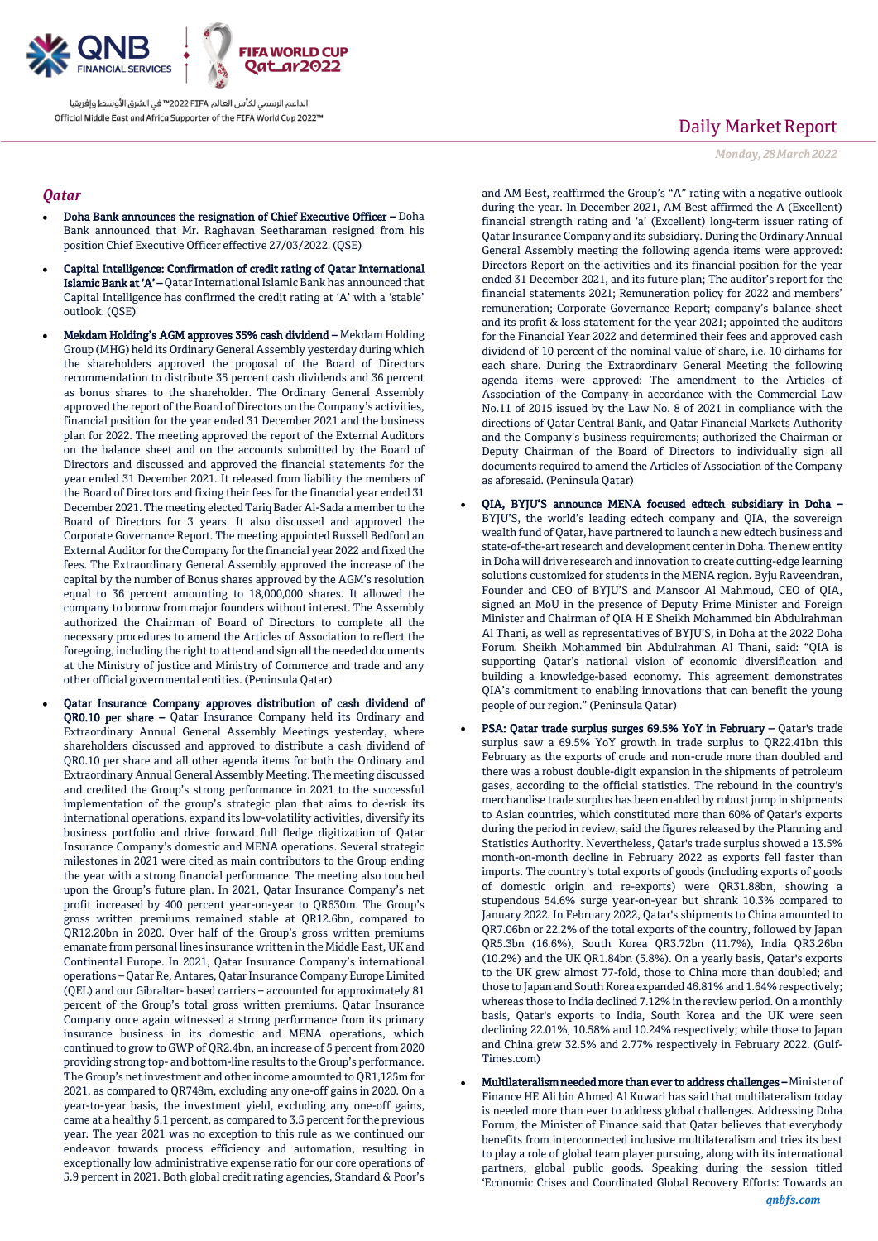

### *Qatar*

- Doha Bank announces the resignation of Chief Executive Officer Doha Bank announced that Mr. Raghavan Seetharaman resigned from his position Chief Executive Officer effective 27/03/2022. (QSE)
- Capital Intelligence: Confirmation of credit rating of Qatar International Islamic Bank at 'A' – Qatar International Islamic Bank has announced that Capital Intelligence has confirmed the credit rating at 'A' with a 'stable' outlook. (QSE)
- Mekdam Holding's AGM approves 35% cash dividend Mekdam Holding Group (MHG) held its Ordinary General Assembly yesterday during which the shareholders approved the proposal of the Board of Directors recommendation to distribute 35 percent cash dividends and 36 percent as bonus shares to the shareholder. The Ordinary General Assembly approved the report of the Board of Directors on the Company's activities, financial position for the year ended 31 December 2021 and the business plan for 2022. The meeting approved the report of the External Auditors on the balance sheet and on the accounts submitted by the Board of Directors and discussed and approved the financial statements for the year ended 31 December 2021. It released from liability the members of the Board of Directors and fixing their fees for the financial year ended 31 December 2021. The meeting elected Tariq Bader Al-Sada a member to the Board of Directors for 3 years. It also discussed and approved the Corporate Governance Report. The meeting appointed Russell Bedford an External Auditor for the Company for the financial year 2022 and fixed the fees. The Extraordinary General Assembly approved the increase of the capital by the number of Bonus shares approved by the AGM's resolution equal to 36 percent amounting to 18,000,000 shares. It allowed the company to borrow from major founders without interest. The Assembly authorized the Chairman of Board of Directors to complete all the necessary procedures to amend the Articles of Association to reflect the foregoing, including the right to attend and sign all the needed documents at the Ministry of justice and Ministry of Commerce and trade and any other official governmental entities. (Peninsula Qatar)
	- Qatar Insurance Company approves distribution of cash dividend of QR0.10 per share - Qatar Insurance Company held its Ordinary and Extraordinary Annual General Assembly Meetings yesterday, where shareholders discussed and approved to distribute a cash dividend of QR0.10 per share and all other agenda items for both the Ordinary and Extraordinary Annual General Assembly Meeting. The meeting discussed and credited the Group's strong performance in 2021 to the successful implementation of the group's strategic plan that aims to de-risk its international operations, expand its low-volatility activities, diversify its business portfolio and drive forward full fledge digitization of Qatar Insurance Company's domestic and MENA operations. Several strategic milestones in 2021 were cited as main contributors to the Group ending the year with a strong financial performance. The meeting also touched upon the Group's future plan. In 2021, Qatar Insurance Company's net profit increased by 400 percent year-on-year to QR630m. The Group's gross written premiums remained stable at QR12.6bn, compared to QR12.20bn in 2020. Over half of the Group's gross written premiums emanate from personal lines insurance written in the Middle East, UK and Continental Europe. In 2021, Qatar Insurance Company's international operations – Qatar Re, Antares, Qatar Insurance Company Europe Limited (QEL) and our Gibraltar- based carriers – accounted for approximately 81 percent of the Group's total gross written premiums. Qatar Insurance Company once again witnessed a strong performance from its primary insurance business in its domestic and MENA operations, which continued to grow to GWP of QR2.4bn, an increase of 5 percent from 2020 providing strong top- and bottom-line results to the Group's performance. The Group's net investment and other income amounted to QR1,125m for 2021, as compared to QR748m, excluding any one-off gains in 2020. On a year-to-year basis, the investment yield, excluding any one-off gains, came at a healthy 5.1 percent, as compared to 3.5 percent for the previous year. The year 2021 was no exception to this rule as we continued our endeavor towards process efficiency and automation, resulting in exceptionally low administrative expense ratio for our core operations of 5.9 percent in 2021. Both global credit rating agencies, Standard & Poor's

# Daily Market Report

*Monday, 28March2022*

and AM Best, reaffirmed the Group's "A" rating with a negative outlook during the year. In December 2021, AM Best affirmed the A (Excellent) financial strength rating and 'a' (Excellent) long-term issuer rating of Qatar Insurance Company and its subsidiary. During the Ordinary Annual General Assembly meeting the following agenda items were approved: Directors Report on the activities and its financial position for the year ended 31 December 2021, and its future plan; The auditor's report for the financial statements 2021; Remuneration policy for 2022 and members' remuneration; Corporate Governance Report; company's balance sheet and its profit & loss statement for the year 2021; appointed the auditors for the Financial Year 2022 and determined their fees and approved cash dividend of 10 percent of the nominal value of share, i.e. 10 dirhams for each share. During the Extraordinary General Meeting the following agenda items were approved: The amendment to the Articles of Association of the Company in accordance with the Commercial Law No.11 of 2015 issued by the Law No. 8 of 2021 in compliance with the directions of Qatar Central Bank, and Qatar Financial Markets Authority and the Company's business requirements; authorized the Chairman or Deputy Chairman of the Board of Directors to individually sign all documents required to amend the Articles of Association of the Company as aforesaid. (Peninsula Qatar)

- QIA, BYJU'S announce MENA focused edtech subsidiary in Doha BYJU'S, the world's leading edtech company and QIA, the sovereign wealth fund of Qatar, have partnered to launch a new edtech business and state-of-the-art research and development centerin Doha. The new entity in Doha will drive research and innovation to create cutting-edge learning solutions customized for students in the MENA region. Byju Raveendran, Founder and CEO of BYJU'S and Mansoor Al Mahmoud, CEO of QIA, signed an MoU in the presence of Deputy Prime Minister and Foreign Minister and Chairman of QIA H E Sheikh Mohammed bin Abdulrahman Al Thani, as well as representatives of BYJU'S, in Doha at the 2022 Doha Forum. Sheikh Mohammed bin Abdulrahman Al Thani, said: "QIA is supporting Qatar's national vision of economic diversification and building a knowledge-based economy. This agreement demonstrates QIA's commitment to enabling innovations that can benefit the young people of our region." (Peninsula Qatar)
- PSA: Qatar trade surplus surges 69.5% YoY in February Qatar's trade surplus saw a 69.5% YoY growth in trade surplus to QR22.41bn this February as the exports of crude and non-crude more than doubled and there was a robust double-digit expansion in the shipments of petroleum gases, according to the official statistics. The rebound in the country's merchandise trade surplus has been enabled by robust jump in shipments to Asian countries, which constituted more than 60% of Qatar's exports during the period in review, said the figures released by the Planning and Statistics Authority. Nevertheless, Qatar's trade surplus showed a 13.5% month-on-month decline in February 2022 as exports fell faster than imports. The country's total exports of goods (including exports of goods of domestic origin and re-exports) were QR31.88bn, showing a stupendous 54.6% surge year-on-year but shrank 10.3% compared to January 2022. In February 2022, Qatar's shipments to China amounted to QR7.06bn or 22.2% of the total exports of the country, followed by Japan QR5.3bn (16.6%), South Korea QR3.72bn (11.7%), India QR3.26bn (10.2%) and the UK QR1.84bn (5.8%). On a yearly basis, Qatar's exports to the UK grew almost 77-fold, those to China more than doubled; and those to Japan and South Korea expanded 46.81% and 1.64% respectively; whereas those to India declined 7.12% in the review period. On a monthly basis, Qatar's exports to India, South Korea and the UK were seen declining 22.01%, 10.58% and 10.24% respectively; while those to Japan and China grew 32.5% and 2.77% respectively in February 2022. (Gulf-Times.com)
- Multilateralism needed more than ever to address challenges Minister of Finance HE Ali bin Ahmed Al Kuwari has said that multilateralism today is needed more than ever to address global challenges. Addressing Doha Forum, the Minister of Finance said that Qatar believes that everybody benefits from interconnected inclusive multilateralism and tries its best to play a role of global team player pursuing, along with its international partners, global public goods. Speaking during the session titled 'Economic Crises and Coordinated Global Recovery Efforts: Towards an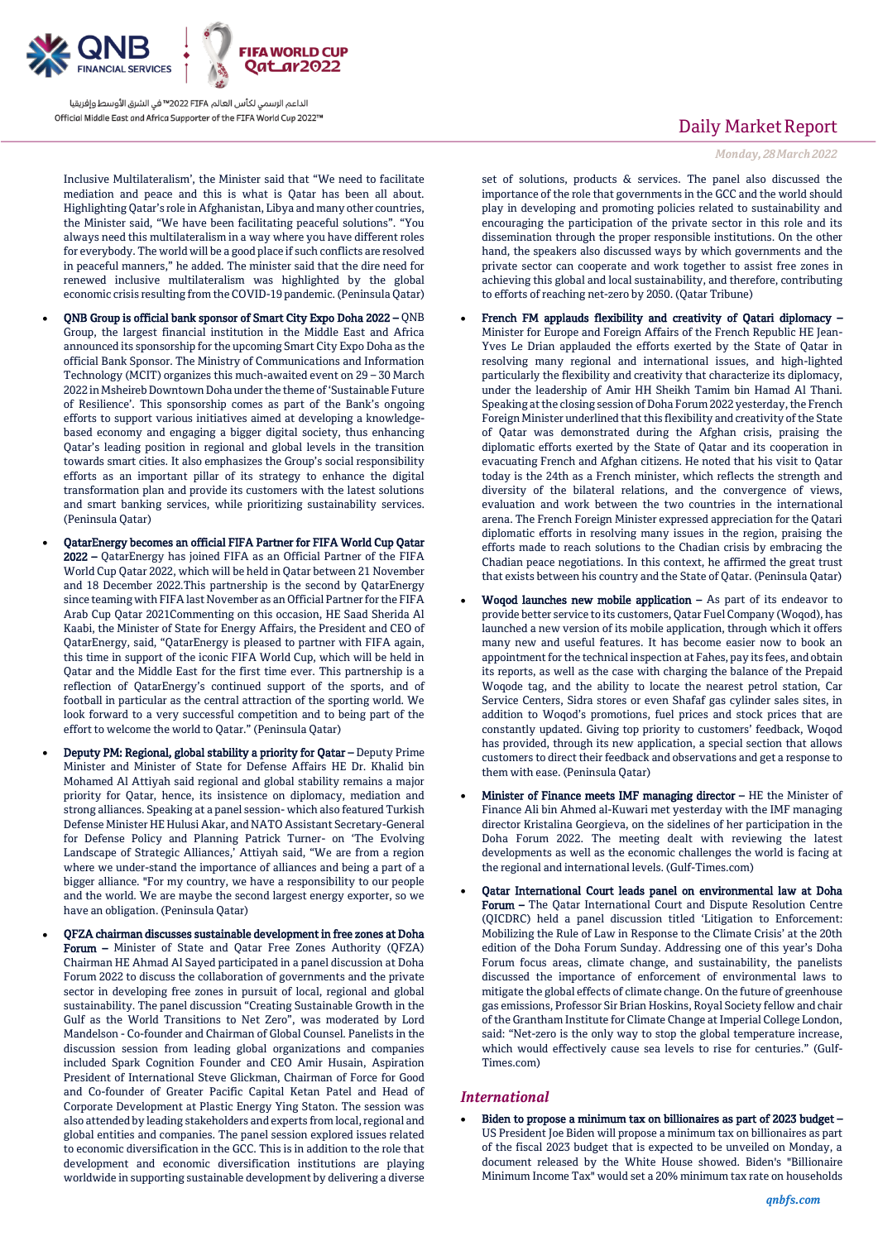

Inclusive Multilateralism', the Minister said that "We need to facilitate mediation and peace and this is what is Qatar has been all about. Highlighting Qatar's role in Afghanistan, Libya and many other countries, the Minister said, "We have been facilitating peaceful solutions". "You always need this multilateralism in a way where you have different roles for everybody. The world will be a good place if such conflicts are resolved in peaceful manners," he added. The minister said that the dire need for renewed inclusive multilateralism was highlighted by the global economic crisis resulting from the COVID-19 pandemic. (Peninsula Qatar)

- QNB Group is official bank sponsor of Smart City Expo Doha 2022 QNB Group, the largest financial institution in the Middle East and Africa announced its sponsorship for the upcoming Smart City Expo Doha as the official Bank Sponsor. The Ministry of Communications and Information Technology (MCIT) organizes this much-awaited event on 29 – 30 March 2022 in Msheireb Downtown Doha under the theme of 'Sustainable Future of Resilience'. This sponsorship comes as part of the Bank's ongoing efforts to support various initiatives aimed at developing a knowledgebased economy and engaging a bigger digital society, thus enhancing Qatar's leading position in regional and global levels in the transition towards smart cities. It also emphasizes the Group's social responsibility efforts as an important pillar of its strategy to enhance the digital transformation plan and provide its customers with the latest solutions and smart banking services, while prioritizing sustainability services. (Peninsula Qatar)
- QatarEnergy becomes an official FIFA Partner for FIFA World Cup Qatar 2022 – QatarEnergy has joined FIFA as an Official Partner of the FIFA World Cup Qatar 2022, which will be held in Qatar between 21 November and 18 December 2022.This partnership is the second by QatarEnergy since teaming with FIFA last November as an Official Partner for the FIFA Arab Cup Qatar 2021Commenting on this occasion, HE Saad Sherida Al Kaabi, the Minister of State for Energy Affairs, the President and CEO of QatarEnergy, said, "QatarEnergy is pleased to partner with FIFA again, this time in support of the iconic FIFA World Cup, which will be held in Qatar and the Middle East for the first time ever. This partnership is a reflection of QatarEnergy's continued support of the sports, and of football in particular as the central attraction of the sporting world. We look forward to a very successful competition and to being part of the effort to welcome the world to Qatar." (Peninsula Qatar)
	- Deputy PM: Regional, global stability a priority for Qatar Deputy Prime Minister and Minister of State for Defense Affairs HE Dr. Khalid bin Mohamed Al Attiyah said regional and global stability remains a major priority for Qatar, hence, its insistence on diplomacy, mediation and strong alliances. Speaking at a panel session- which also featured Turkish Defense Minister HE Hulusi Akar, and NATO Assistant Secretary-General for Defense Policy and Planning Patrick Turner- on 'The Evolving Landscape of Strategic Alliances,' Attiyah said, "We are from a region where we under-stand the importance of alliances and being a part of a bigger alliance. "For my country, we have a responsibility to our people and the world. We are maybe the second largest energy exporter, so we have an obligation. (Peninsula Qatar)
	- QFZA chairman discusses sustainable development in free zones at Doha Forum – Minister of State and Qatar Free Zones Authority (QFZA) Chairman HE Ahmad Al Sayed participated in a panel discussion at Doha Forum 2022 to discuss the collaboration of governments and the private sector in developing free zones in pursuit of local, regional and global sustainability. The panel discussion "Creating Sustainable Growth in the Gulf as the World Transitions to Net Zero", was moderated by Lord Mandelson - Co-founder and Chairman of Global Counsel. Panelists in the discussion session from leading global organizations and companies included Spark Cognition Founder and CEO Amir Husain, Aspiration President of International Steve Glickman, Chairman of Force for Good and Co-founder of Greater Pacific Capital Ketan Patel and Head of Corporate Development at Plastic Energy Ying Staton. The session was also attended by leading stakeholders and experts from local, regional and global entities and companies. The panel session explored issues related to economic diversification in the GCC. This is in addition to the role that development and economic diversification institutions are playing worldwide in supporting sustainable development by delivering a diverse

## Daily Market Report

### *Monday, 28March2022*

set of solutions, products & services. The panel also discussed the importance of the role that governments in the GCC and the world should play in developing and promoting policies related to sustainability and encouraging the participation of the private sector in this role and its dissemination through the proper responsible institutions. On the other hand, the speakers also discussed ways by which governments and the private sector can cooperate and work together to assist free zones in achieving this global and local sustainability, and therefore, contributing to efforts of reaching net-zero by 2050. (Qatar Tribune)

- French FM applauds flexibility and creativity of Qatari diplomacy Minister for Europe and Foreign Affairs of the French Republic HE Jean-Yves Le Drian applauded the efforts exerted by the State of Qatar in resolving many regional and international issues, and high-lighted particularly the flexibility and creativity that characterize its diplomacy, under the leadership of Amir HH Sheikh Tamim bin Hamad Al Thani. Speaking at the closing session of Doha Forum 2022 yesterday, the French Foreign Minister underlined that this flexibility and creativity of the State of Qatar was demonstrated during the Afghan crisis, praising the diplomatic efforts exerted by the State of Qatar and its cooperation in evacuating French and Afghan citizens. He noted that his visit to Qatar today is the 24th as a French minister, which reflects the strength and diversity of the bilateral relations, and the convergence of views, evaluation and work between the two countries in the international arena. The French Foreign Minister expressed appreciation for the Qatari diplomatic efforts in resolving many issues in the region, praising the efforts made to reach solutions to the Chadian crisis by embracing the Chadian peace negotiations. In this context, he affirmed the great trust that exists between his country and the State of Qatar. (Peninsula Qatar)
- Woqod launches new mobile application As part of its endeavor to provide better service to its customers, Qatar Fuel Company (Woqod), has launched a new version of its mobile application, through which it offers many new and useful features. It has become easier now to book an appointment for the technical inspection at Fahes, pay its fees, and obtain its reports, as well as the case with charging the balance of the Prepaid Woqode tag, and the ability to locate the nearest petrol station, Car Service Centers, Sidra stores or even Shafaf gas cylinder sales sites, in addition to Woqod's promotions, fuel prices and stock prices that are constantly updated. Giving top priority to customers' feedback, Woqod has provided, through its new application, a special section that allows customers to direct their feedback and observations and get a response to them with ease. (Peninsula Qatar)
- Minister of Finance meets IMF managing director HE the Minister of Finance Ali bin Ahmed al-Kuwari met yesterday with the IMF managing director Kristalina Georgieva, on the sidelines of her participation in the Doha Forum 2022. The meeting dealt with reviewing the latest developments as well as the economic challenges the world is facing at the regional and international levels. (Gulf-Times.com)
- Qatar International Court leads panel on environmental law at Doha Forum – The Qatar International Court and Dispute Resolution Centre (QICDRC) held a panel discussion titled 'Litigation to Enforcement: Mobilizing the Rule of Law in Response to the Climate Crisis' at the 20th edition of the Doha Forum Sunday. Addressing one of this year's Doha Forum focus areas, climate change, and sustainability, the panelists discussed the importance of enforcement of environmental laws to mitigate the global effects of climate change. On the future of greenhouse gas emissions, Professor Sir Brian Hoskins, Royal Society fellow and chair of the Grantham Institute for Climate Change at Imperial College London, said: "Net-zero is the only way to stop the global temperature increase, which would effectively cause sea levels to rise for centuries." (Gulf-Times.com)

### *International*

 Biden to propose a minimum tax on billionaires as part of 2023 budget – US President Joe Biden will propose a minimum tax on billionaires as part of the fiscal 2023 budget that is expected to be unveiled on Monday, a document released by the White House showed. Biden's "Billionaire Minimum Income Tax" would set a 20% minimum tax rate on households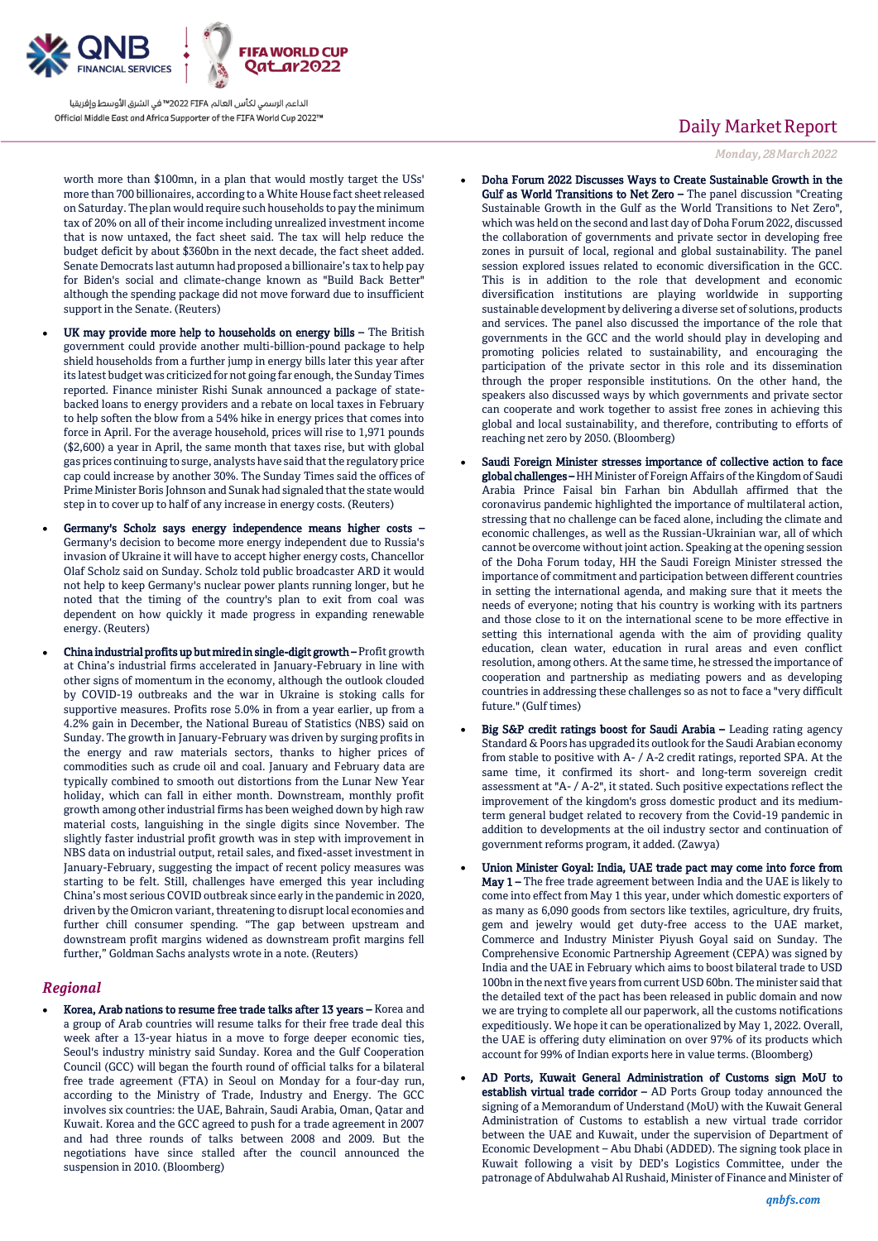

worth more than \$100mn, in a plan that would mostly target the USs' more than 700 billionaires, according to a White House fact sheet released on Saturday. The plan would require such households to pay the minimum tax of 20% on all of their income including unrealized investment income that is now untaxed, the fact sheet said. The tax will help reduce the budget deficit by about \$360bn in the next decade, the fact sheet added. Senate Democrats last autumn had proposed a billionaire's tax to help pay for Biden's social and climate-change known as "Build Back Better" although the spending package did not move forward due to insufficient support in the Senate. (Reuters)

- UK may provide more help to households on energy bills The British government could provide another multi-billion-pound package to help shield households from a further jump in energy bills later this year after its latest budget was criticized for not going far enough, the Sunday Times reported. Finance minister Rishi Sunak announced a package of statebacked loans to energy providers and a rebate on local taxes in February to help soften the blow from a 54% hike in energy prices that comes into force in April. For the average household, prices will rise to 1,971 pounds (\$2,600) a year in April, the same month that taxes rise, but with global gas prices continuing to surge, analysts have said that the regulatory price cap could increase by another 30%. The Sunday Times said the offices of Prime Minister Boris Johnson and Sunak had signaled that the state would step in to cover up to half of any increase in energy costs. (Reuters)
- Germany's Scholz says energy independence means higher costs Germany's decision to become more energy independent due to Russia's invasion of Ukraine it will have to accept higher energy costs, Chancellor Olaf Scholz said on Sunday. Scholz told public broadcaster ARD it would not help to keep Germany's nuclear power plants running longer, but he noted that the timing of the country's plan to exit from coal was dependent on how quickly it made progress in expanding renewable energy. (Reuters)
- China industrial profits up but mired in single-digit growth Profit growth at China's industrial firms accelerated in January-February in line with other signs of momentum in the economy, although the outlook clouded by COVID-19 outbreaks and the war in Ukraine is stoking calls for supportive measures. Profits rose 5.0% in from a year earlier, up from a 4.2% gain in December, the National Bureau of Statistics (NBS) said on Sunday. The growth in January-February was driven by surging profits in the energy and raw materials sectors, thanks to higher prices of commodities such as crude oil and coal. January and February data are typically combined to smooth out distortions from the Lunar New Year holiday, which can fall in either month. Downstream, monthly profit growth among other industrial firms has been weighed down by high raw material costs, languishing in the single digits since November. The slightly faster industrial profit growth was in step with improvement in NBS data on industrial output, retail sales, and fixed-asset investment in January-February, suggesting the impact of recent policy measures was starting to be felt. Still, challenges have emerged this year including China's most serious COVID outbreak since early in the pandemic in 2020, driven by the Omicron variant, threatening to disrupt local economies and further chill consumer spending. "The gap between upstream and downstream profit margins widened as downstream profit margins fell further," Goldman Sachs analysts wrote in a note. (Reuters)

### *Regional*

 Korea, Arab nations to resume free trade talks after 13 years – Korea and a group of Arab countries will resume talks for their free trade deal this week after a 13-year hiatus in a move to forge deeper economic ties, Seoul's industry ministry said Sunday. Korea and the Gulf Cooperation Council (GCC) will began the fourth round of official talks for a bilateral free trade agreement (FTA) in Seoul on Monday for a four-day run, according to the Ministry of Trade, Industry and Energy. The GCC involves six countries: the UAE, Bahrain, Saudi Arabia, Oman, Qatar and Kuwait. Korea and the GCC agreed to push for a trade agreement in 2007 and had three rounds of talks between 2008 and 2009. But the negotiations have since stalled after the council announced the suspension in 2010. (Bloomberg)

## Daily Market Report

*Monday, 28March2022*

- Doha Forum 2022 Discusses Ways to Create Sustainable Growth in the Gulf as World Transitions to Net Zero - The panel discussion "Creating Sustainable Growth in the Gulf as the World Transitions to Net Zero", which was held on the second and last day of Doha Forum 2022, discussed the collaboration of governments and private sector in developing free zones in pursuit of local, regional and global sustainability. The panel session explored issues related to economic diversification in the GCC. This is in addition to the role that development and economic diversification institutions are playing worldwide in supporting sustainable development by delivering a diverse set of solutions, products and services. The panel also discussed the importance of the role that governments in the GCC and the world should play in developing and promoting policies related to sustainability, and encouraging the participation of the private sector in this role and its dissemination through the proper responsible institutions. On the other hand, the speakers also discussed ways by which governments and private sector can cooperate and work together to assist free zones in achieving this global and local sustainability, and therefore, contributing to efforts of reaching net zero by 2050. (Bloomberg)
- Saudi Foreign Minister stresses importance of collective action to face global challenges – HH Minister of Foreign Affairs of the Kingdom of Saudi Arabia Prince Faisal bin Farhan bin Abdullah affirmed that the coronavirus pandemic highlighted the importance of multilateral action, stressing that no challenge can be faced alone, including the climate and economic challenges, as well as the Russian-Ukrainian war, all of which cannot be overcome without joint action. Speaking at the opening session of the Doha Forum today, HH the Saudi Foreign Minister stressed the importance of commitment and participation between different countries in setting the international agenda, and making sure that it meets the needs of everyone; noting that his country is working with its partners and those close to it on the international scene to be more effective in setting this international agenda with the aim of providing quality education, clean water, education in rural areas and even conflict resolution, among others. At the same time, he stressed the importance of cooperation and partnership as mediating powers and as developing countries in addressing these challenges so as not to face a "very difficult future." (Gulf times)
- Big S&P credit ratings boost for Saudi Arabia Leading rating agency Standard & Poors has upgraded its outlook for the Saudi Arabian economy from stable to positive with A- / A-2 credit ratings, reported SPA. At the same time, it confirmed its short- and long-term sovereign credit assessment at "A- / A-2", it stated. Such positive expectations reflect the improvement of the kingdom's gross domestic product and its mediumterm general budget related to recovery from the Covid-19 pandemic in addition to developments at the oil industry sector and continuation of government reforms program, it added. (Zawya)
- Union Minister Goyal: India, UAE trade pact may come into force from May 1 – The free trade agreement between India and the UAE is likely to come into effect from May 1 this year, under which domestic exporters of as many as 6,090 goods from sectors like textiles, agriculture, dry fruits, gem and jewelry would get duty-free access to the UAE market, Commerce and Industry Minister Piyush Goyal said on Sunday. The Comprehensive Economic Partnership Agreement (CEPA) was signed by India and the UAE in February which aims to boost bilateral trade to USD 100bn in the next five years from current USD 60bn. The minister said that the detailed text of the pact has been released in public domain and now we are trying to complete all our paperwork, all the customs notifications expeditiously. We hope it can be operationalized by May 1, 2022. Overall, the UAE is offering duty elimination on over 97% of its products which account for 99% of Indian exports here in value terms. (Bloomberg)
- AD Ports, Kuwait General Administration of Customs sign MoU to establish virtual trade corridor - AD Ports Group today announced the signing of a Memorandum of Understand (MoU) with the Kuwait General Administration of Customs to establish a new virtual trade corridor between the UAE and Kuwait, under the supervision of Department of Economic Development – Abu Dhabi (ADDED). The signing took place in Kuwait following a visit by DED's Logistics Committee, under the patronage of Abdulwahab Al Rushaid, Minister of Finance and Minister of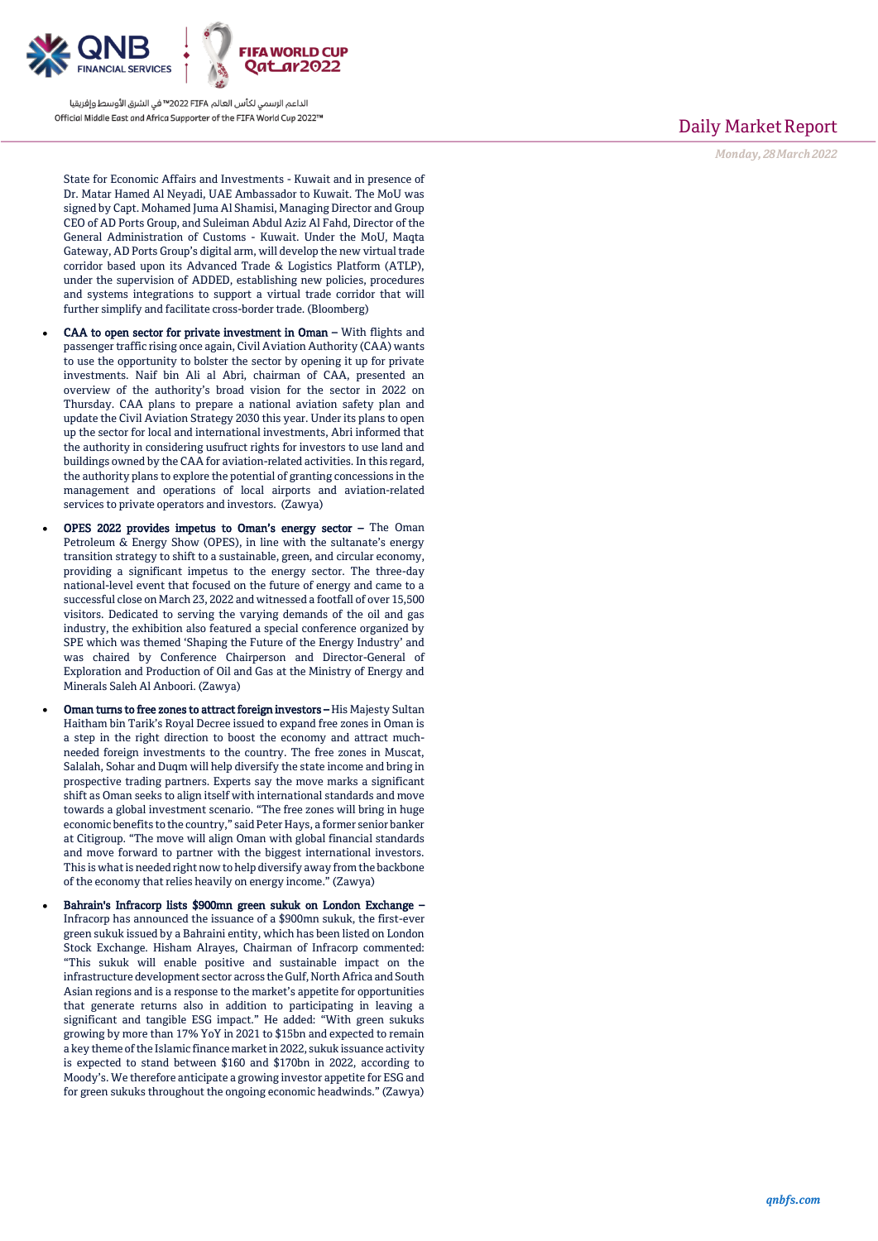

State for Economic Affairs and Investments - Kuwait and in presence of Dr. Matar Hamed Al Neyadi, UAE Ambassador to Kuwait. The MoU was signed by Capt. Mohamed Juma Al Shamisi, Managing Director and Group CEO of AD Ports Group, and Suleiman Abdul Aziz Al Fahd, Director of the General Administration of Customs - Kuwait. Under the MoU, Maqta Gateway, AD Ports Group's digital arm, will develop the new virtual trade corridor based upon its Advanced Trade & Logistics Platform (ATLP), under the supervision of ADDED, establishing new policies, procedures and systems integrations to support a virtual trade corridor that will further simplify and facilitate cross -border trade. (Bloomberg)

- CAA to open sector for private investment in Oman With flights and passenger traffic rising once again, Civil Aviation Authority (CAA) wants to use the opportunity to bolster the sector by opening it up for private investments. Naif bin Ali al Abri, chairman of CAA, presented an overview of the authority's broad vision for the sector in 2022 on Thursday. CAA plans to prepare a national aviation safety plan and update the Civil Aviation Strategy 2030 this year. Under its plans to open up the sector for local and international investments, Abri informed that the authority in considering usufruct rights for investors to use land and buildings owned by the CAA for aviation -related activities. In this regard, the authority plans to explore the potential of granting concessions in the management and operations of local airports and aviation -related services to private operators and investors. (Zawya)
- OPES 2022 provides impetus to Oman's energy sector The Oman Petroleum & Energy Show (OPES), in line with the sultanate's energy transition strategy to shift to a sustainable, green, and circular economy, providing a significant impetus to the energy sector. The three -day national -level event that focused on the future of energy and came to a successful close on March 23, 2022 and witnessed a footfall of over 15,500 visitors. Dedicated to serving the varying demands of the oil and gas industry, the exhibition also featured a special conference organized by SPE which was themed 'Shaping the Future of the Energy Industry' and was chaired by Conference Chairperson and Director -General of Exploration and Production of Oil and Gas at the Ministry of Energy and Minerals Saleh Al Anboori. (Zawya)
- Oman turns to free zones to attract foreign investors His Majesty Sultan Haitham bin Tarik's Royal Decree issued to expand free zones in Oman is a step in the right direction to boost the economy and attract much needed foreign investments to the country. The free zones in Muscat, Salalah, Sohar and Duqm will help diversify the state income and bring in prospective trading partners. Experts say the move marks a significant shift as Oman seeks to align itself with international standards and move towards a global investment scenario. "The free zones will bring in huge economic benefits to the country," said Peter Hays, a former senior banker at Citigroup. "The move will align Oman with global financial standards and move forward to partner with the biggest international investors. This is what is needed right now to help diversify away from the backbone of the economy that relies heavily on energy income." (Zawya)
- Bahrain's Infracorp lists \$900mn green sukuk on London Exchange Infracorp has announced the issuance of a \$900mn sukuk, the first -ever green sukuk issued by a Bahraini entity, which has been listed on London Stock Exchange. Hisham Alrayes, Chairman of Infracorp commented: "This sukuk will enable positive and sustainable impact on the infrastructure development sector across the Gulf, North Africa and South Asian regions and is a response to the market's appetite for opportunities that generate returns also in addition to participating in leaving a significant and tangible ESG impact." He added: "With green sukuks growing by more than 17% YoY in 2021 to \$15bn and expected to remain a key theme of the Islamic finance market in 2022, sukuk issuance activity is expected to stand between \$160 and \$170bn in 2022, according to Moody's. We therefore anticipate a growing investor appetite for ESG and for green sukuks throughout the ongoing economic headwinds." (Zawya)

## Daily Market Report

*Monday, 28March2022*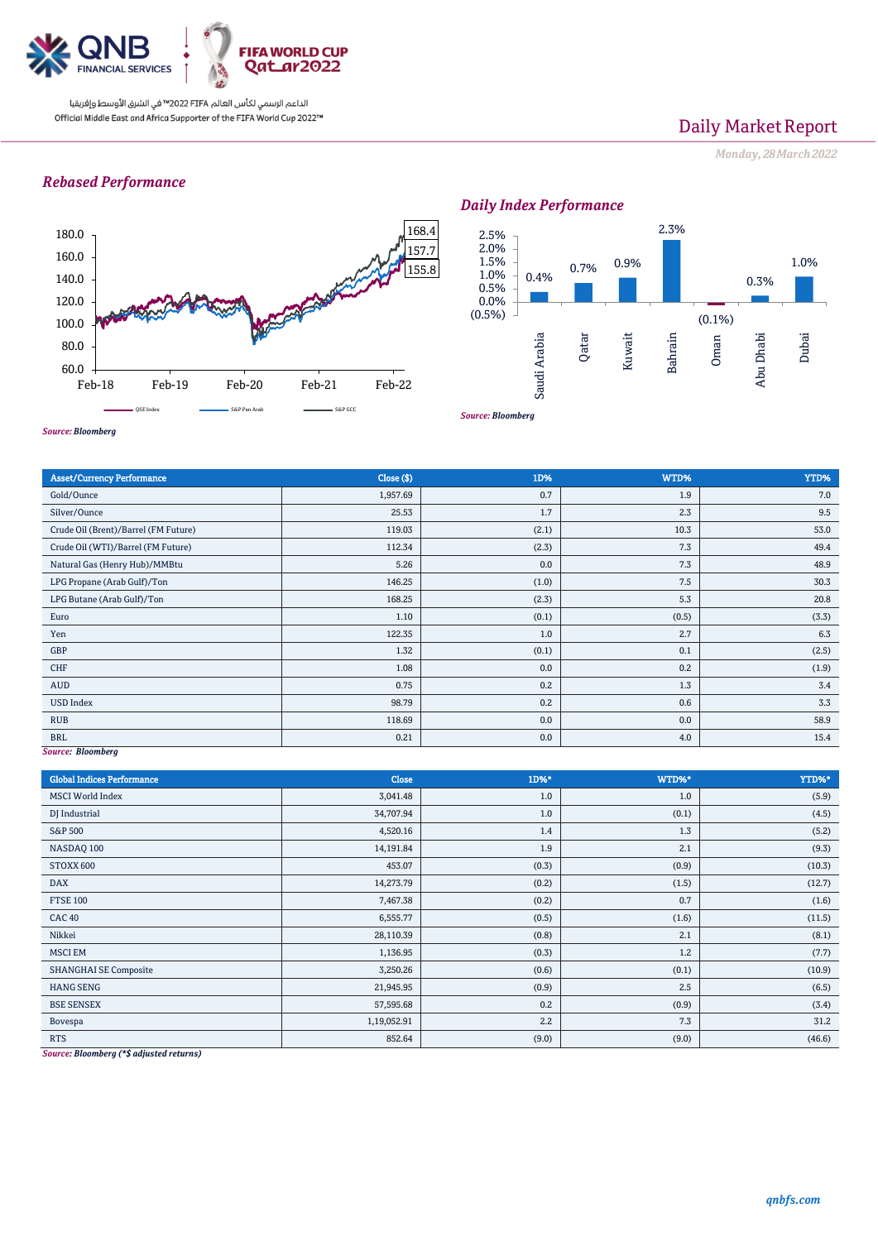

# Daily Market Report

*Monday, 28March2022*

## *Rebased Performance*



*Daily Index Performance*



*Source: Bloomberg*

| Close ( \$) | 1D%   | WTD%  | YTD%  |
|-------------|-------|-------|-------|
| 1,957.69    | 0.7   | 1.9   | 7.0   |
| 25.53       | 1.7   | 2.3   | 9.5   |
| 119.03      | (2.1) | 10.3  | 53.0  |
| 112.34      | (2.3) | 7.3   | 49.4  |
| 5.26        | 0.0   | 7.3   | 48.9  |
| 146.25      | (1.0) | 7.5   | 30.3  |
| 168.25      | (2.3) | 5.3   | 20.8  |
| 1.10        | (0.1) | (0.5) | (3.3) |
| 122.35      | 1.0   | 2.7   | 6.3   |
| 1.32        | (0.1) | 0.1   | (2.5) |
| 1.08        | 0.0   | 0.2   | (1.9) |
| 0.75        | 0.2   | 1.3   | 3.4   |
| 98.79       | 0.2   | 0.6   | 3.3   |
| 118.69      | 0.0   | 0.0   | 58.9  |
| 0.21        | 0.0   | 4.0   | 15.4  |
|             |       |       |       |

*Source: Bloomberg*

| <b>Global Indices Performance</b>                                                       | <b>Close</b> | 1D%*  | WTD%* | YTD%*  |
|-----------------------------------------------------------------------------------------|--------------|-------|-------|--------|
| <b>MSCI</b> World Index                                                                 | 3,041.48     | 1.0   | 1.0   | (5.9)  |
| DJ Industrial                                                                           | 34,707.94    | 1.0   | (0.1) | (4.5)  |
| <b>S&amp;P 500</b>                                                                      | 4,520.16     | 1.4   | 1.3   | (5.2)  |
| NASDAQ 100                                                                              | 14,191.84    | 1.9   | 2.1   | (9.3)  |
| STOXX 600                                                                               | 453.07       | (0.3) | (0.9) | (10.3) |
| <b>DAX</b>                                                                              | 14,273.79    | (0.2) | (1.5) | (12.7) |
| <b>FTSE 100</b>                                                                         | 7,467.38     | (0.2) | 0.7   | (1.6)  |
| <b>CAC 40</b>                                                                           | 6,555.77     | (0.5) | (1.6) | (11.5) |
| Nikkei                                                                                  | 28,110.39    | (0.8) | 2.1   | (8.1)  |
| <b>MSCI EM</b>                                                                          | 1,136.95     | (0.3) | 1.2   | (7.7)  |
| <b>SHANGHAI SE Composite</b>                                                            | 3,250.26     | (0.6) | (0.1) | (10.9) |
| <b>HANG SENG</b>                                                                        | 21,945.95    | (0.9) | 2.5   | (6.5)  |
| <b>BSE SENSEX</b>                                                                       | 57,595.68    | 0.2   | (0.9) | (3.4)  |
| Bovespa                                                                                 | 1,19,052.91  | 2.2   | 7.3   | 31.2   |
| <b>RTS</b><br>$\alpha$ and $\alpha$ and $\alpha$ and $\alpha$ and $\alpha$ and $\alpha$ | 852.64       | (9.0) | (9.0) | (46.6) |

*Source: Bloomberg (\*\$ adjusted returns)*